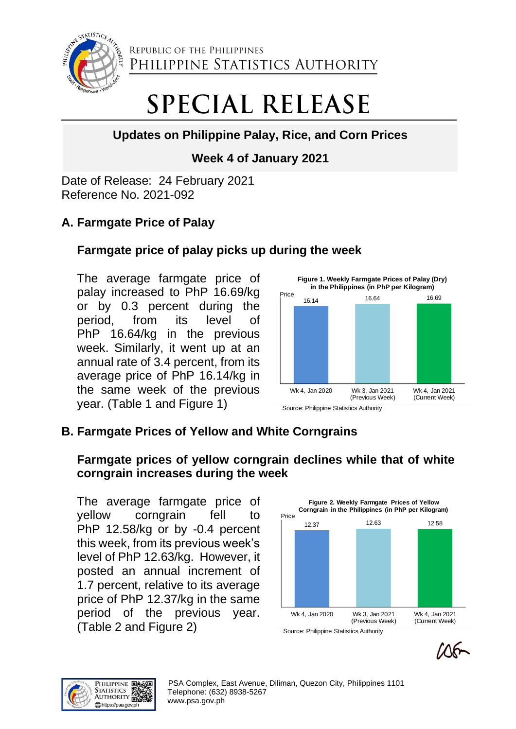

REPUBLIC OF THE PHILIPPINES PHILIPPINE STATISTICS AUTHORITY

# **SPECIAL RELEASE**

# **Updates on Philippine Palay, Rice, and Corn Prices**

## **Week 4 of January 2021**

Date of Release: 24 February 2021 Reference No. 2021-092

# **A. Farmgate Price of Palay**

## **Farmgate price of palay picks up during the week**

The average farmgate price of palay increased to PhP 16.69/kg or by 0.3 percent during the period, from its level of PhP 16.64/kg in the previous week. Similarly, it went up at an annual rate of 3.4 percent, from its average price of PhP 16.14/kg in the same week of the previous year. (Table 1 and Figure 1)



# **B. Farmgate Prices of Yellow and White Corngrains**

## **Farmgate prices of yellow corngrain declines while that of white corngrain increases during the week**

The average farmgate price of yellow corngrain fell to PhP 12.58/kg or by -0.4 percent this week, from its previous week's level of PhP 12.63/kg. However, it posted an annual increment of 1.7 percent, relative to its average price of PhP 12.37/kg in the same period of the previous year. (Table 2 and Figure 2)





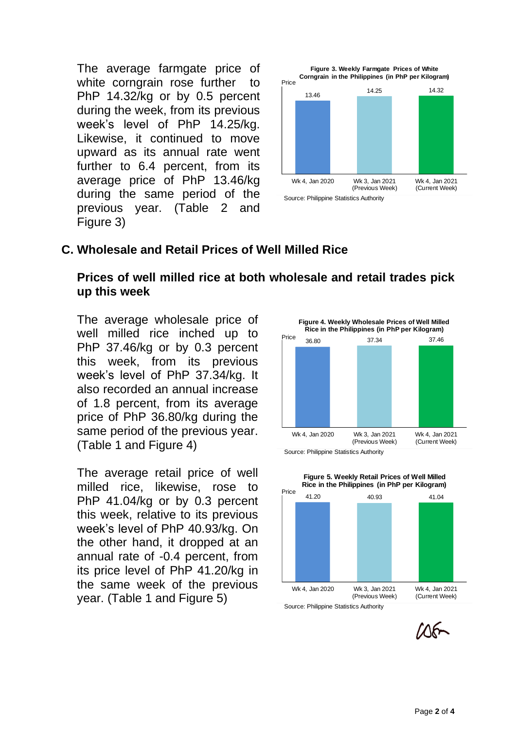The average farmgate price of white corngrain rose further to PhP 14.32/kg or by 0.5 percent during the week, from its previous week's level of PhP 14.25/kg. Likewise, it continued to move upward as its annual rate went further to 6.4 percent, from its average price of PhP 13.46/kg during the same period of the previous year. (Table 2 and Figure 3)



#### **C. Wholesale and Retail Prices of Well Milled Rice**

#### **Prices of well milled rice at both wholesale and retail trades pick up this week**

The average wholesale price of well milled rice inched up to PhP 37.46/kg or by 0.3 percent this week, from its previous week's level of PhP 37.34/kg. It also recorded an annual increase of 1.8 percent, from its average price of PhP 36.80/kg during the same period of the previous year. (Table 1 and Figure 4)

The average retail price of well milled rice, likewise, rose to PhP 41.04/kg or by 0.3 percent this week, relative to its previous week's level of PhP 40.93/kg. On the other hand, it dropped at an annual rate of -0.4 percent, from its price level of PhP 41.20/kg in the same week of the previous year. (Table 1 and Figure 5)





**Figure 5. Weekly Retail Prices of Well Milled** 

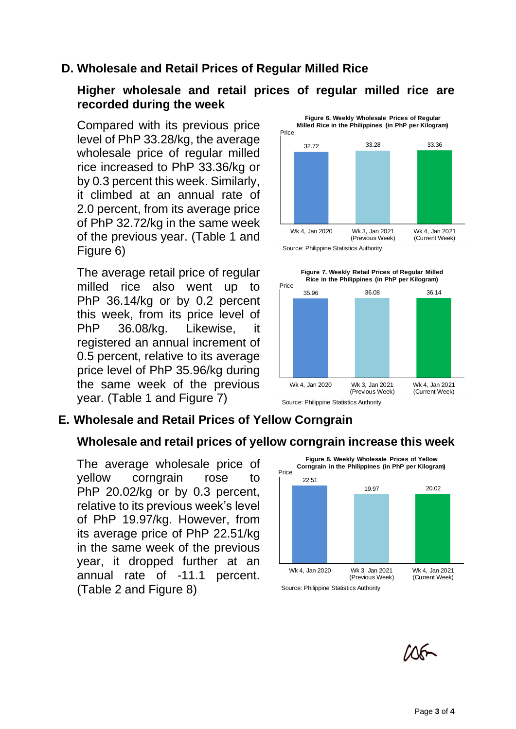## **D. Wholesale and Retail Prices of Regular Milled Rice**

#### **Higher wholesale and retail prices of regular milled rice are recorded during the week**

Compared with its previous price level of PhP 33.28/kg, the average wholesale price of regular milled rice increased to PhP 33.36/kg or by 0.3 percent this week. Similarly, it climbed at an annual rate of 2.0 percent, from its average price of PhP 32.72/kg in the same week of the previous year. (Table 1 and Figure 6)

The average retail price of regular milled rice also went up to PhP 36.14/kg or by 0.2 percent this week, from its price level of PhP 36.08/kg. Likewise, it registered an annual increment of 0.5 percent, relative to its average price level of PhP 35.96/kg during the same week of the previous year. (Table 1 and Figure 7)



**Figure 6. Weekly Wholesale Prices of Regular** 

Source: Philippine Statistics Authority



## **E. Wholesale and Retail Prices of Yellow Corngrain**

#### **Wholesale and retail prices of yellow corngrain increase this week**

The average wholesale price of yellow corngrain rose to PhP 20.02/kg or by 0.3 percent, relative to its previous week's level of PhP 19.97/kg. However, from its average price of PhP 22.51/kg in the same week of the previous year, it dropped further at an annual rate of -11.1 percent. (Table 2 and Figure 8)